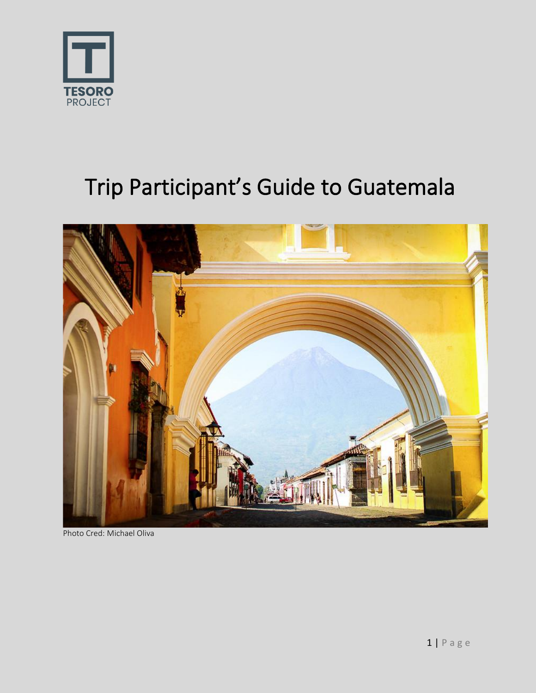

# Trip Participant's Guide to Guatemala



Photo Cred: Michael Oliva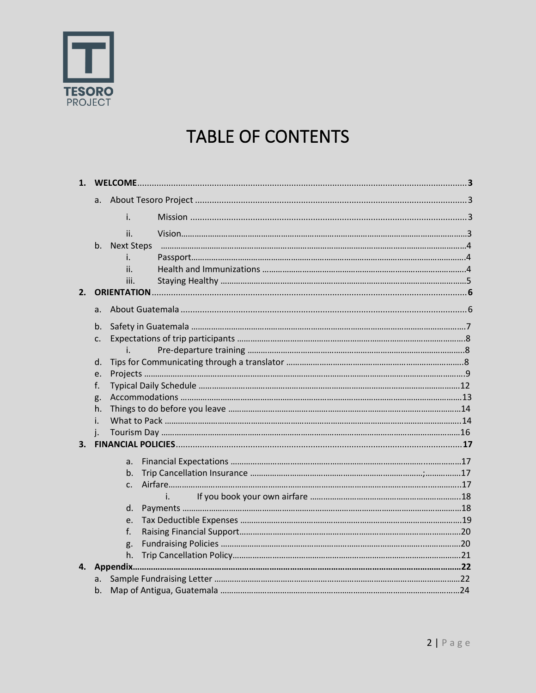

### **TABLE OF CONTENTS**

| 1. |                |      |    |  |  |
|----|----------------|------|----|--|--|
|    | a.             |      |    |  |  |
|    |                | i.   |    |  |  |
|    |                | ii.  |    |  |  |
|    | b.             |      |    |  |  |
|    |                | i.   |    |  |  |
|    |                | ii.  |    |  |  |
|    |                | iii. |    |  |  |
| 2. |                |      |    |  |  |
|    | a.             |      |    |  |  |
|    | b.             |      |    |  |  |
|    | c.             |      |    |  |  |
|    |                | i.   |    |  |  |
|    |                | d.   |    |  |  |
|    | e.             |      |    |  |  |
|    | f.             |      |    |  |  |
|    | g.<br>h.<br>i. |      |    |  |  |
|    |                |      |    |  |  |
|    |                |      |    |  |  |
|    | i.             |      |    |  |  |
| 3. |                |      |    |  |  |
|    |                | a.   |    |  |  |
|    |                | b.   |    |  |  |
|    |                | c.   |    |  |  |
|    |                |      | i. |  |  |
|    |                | d.   |    |  |  |
|    |                | e.   |    |  |  |
|    |                | f.   |    |  |  |
|    |                | g.   |    |  |  |
|    |                | h.   |    |  |  |
| 4. |                |      |    |  |  |
|    | a.             |      |    |  |  |
|    | b.             |      |    |  |  |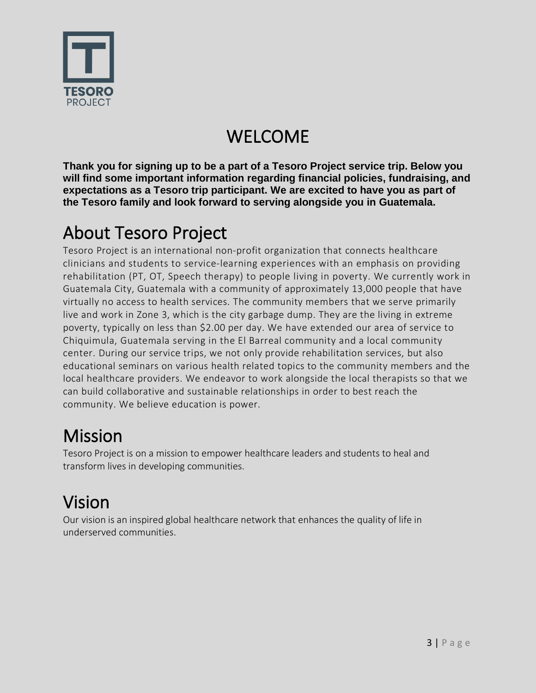

## WELCOME

**Thank you for signing up to be a part of a Tesoro Project service trip. Below you will find some important information regarding financial policies, fundraising, and expectations as a Tesoro trip participant. We are excited to have you as part of the Tesoro family and look forward to serving alongside you in Guatemala.** 

### About Tesoro Project

Tesoro Project is an international non-profit organization that connects healthcare clinicians and students to service-learning experiences with an emphasis on providing rehabilitation (PT, OT, Speech therapy) to people living in poverty. We currently work in Guatemala City, Guatemala with a community of approximately 13,000 people that have virtually no access to health services. The community members that we serve primarily live and work in Zone 3, which is the city garbage dump. They are the living in extreme poverty, typically on less than \$2.00 per day. We have extended our area of service to Chiquimula, Guatemala serving in the El Barreal community and a local community center. During our service trips, we not only provide rehabilitation services, but also educational seminars on various health related topics to the community members and the local healthcare providers. We endeavor to work alongside the local therapists so that we can build collaborative and sustainable relationships in order to best reach the community. We believe education is power.

## Mission

Tesoro Project is on a mission to empower healthcare leaders and students to heal and transform lives in developing communities.

## Vision

Our vision is an inspired global healthcare network that enhances the quality of life in underserved communities.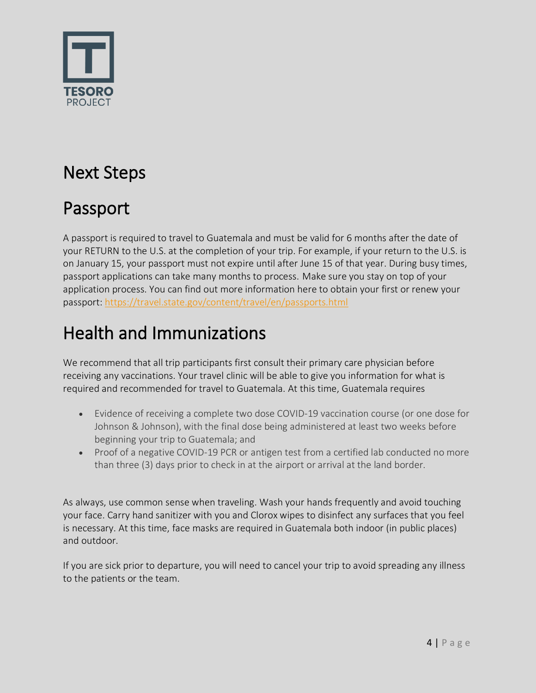

## Next Steps

### Passport

A passport is required to travel to Guatemala and must be valid for 6 months after the date of your RETURN to the U.S. at the completion of your trip. For example, if your return to the U.S. is on January 15, your passport must not expire until after June 15 of that year. During busy times, passport applications can take many months to process. Make sure you stay on top of your application process. You can find out more information here to obtain your first or renew your passport[: https://travel.state.gov/content/travel/en/passports.html](https://travel.state.gov/content/travel/en/passports.html)

## Health and Immunizations

We recommend that all trip participants first consult their primary care physician before receiving any vaccinations. Your travel clinic will be able to give you information for what is required and recommended for travel to Guatemala. At this time, Guatemala requires

- Evidence of receiving a complete two dose COVID-19 vaccination course (or one dose for Johnson & Johnson), with the final dose being administered at least two weeks before beginning your trip to Guatemala; and
- Proof of a negative COVID-19 PCR or antigen test from a certified lab conducted no more than three (3) days prior to check in at the airport or arrival at the land border.

As always, use common sense when traveling. Wash your hands frequently and avoid touching your face. Carry hand sanitizer with you and Clorox wipes to disinfect any surfaces that you feel is necessary. At this time, face masks are required in Guatemala both indoor (in public places) and outdoor.

If you are sick prior to departure, you will need to cancel your trip to avoid spreading any illness to the patients or the team.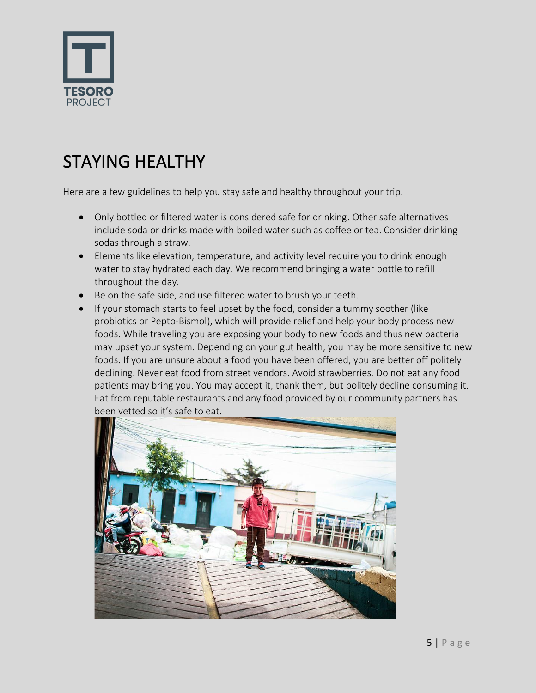

## STAYING HEALTHY

Here are a few guidelines to help you stay safe and healthy throughout your trip.

- Only bottled or filtered water is considered safe for drinking. Other safe alternatives include soda or drinks made with boiled water such as coffee or tea. Consider drinking sodas through a straw.
- Elements like elevation, temperature, and activity level require you to drink enough water to stay hydrated each day. We recommend bringing a water bottle to refill throughout the day.
- Be on the safe side, and use filtered water to brush your teeth.
- If your stomach starts to feel upset by the food, consider a tummy soother (like probiotics or Pepto-Bismol), which will provide relief and help your body process new foods. While traveling you are exposing your body to new foods and thus new bacteria may upset your system. Depending on your gut health, you may be more sensitive to new foods. If you are unsure about a food you have been offered, you are better off politely declining. Never eat food from street vendors. Avoid strawberries. Do not eat any food patients may bring you. You may accept it, thank them, but politely decline consuming it. Eat from reputable restaurants and any food provided by our community partners has been vetted so it's safe to eat.

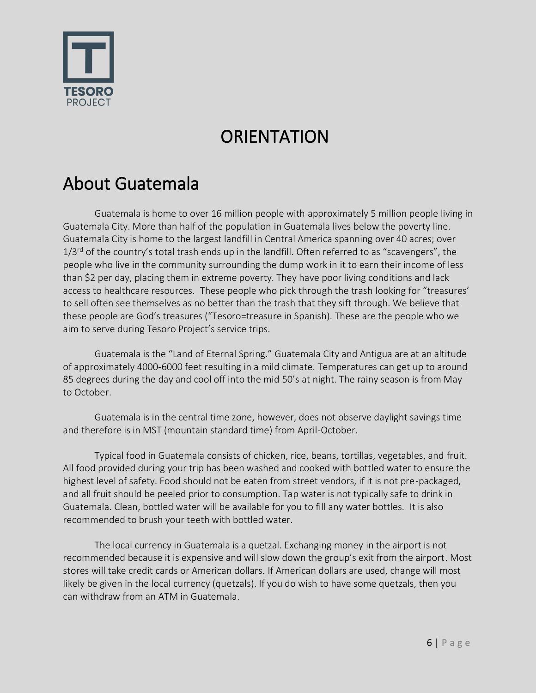

## **ORIENTATION**

### About Guatemala

Guatemala is home to over 16 million people with approximately 5 million people living in Guatemala City. More than half of the population in Guatemala lives below the poverty line. Guatemala City is home to the largest landfill in Central America spanning over 40 acres; over  $1/3$ <sup>rd</sup> of the country's total trash ends up in the landfill. Often referred to as "scavengers", the people who live in the community surrounding the dump work in it to earn their income of less than \$2 per day, placing them in extreme poverty. They have poor living conditions and lack access to healthcare resources. These people who pick through the trash looking for "treasures' to sell often see themselves as no better than the trash that they sift through. We believe that these people are God's treasures ("Tesoro=treasure in Spanish). These are the people who we aim to serve during Tesoro Project's service trips.

Guatemala is the "Land of Eternal Spring." Guatemala City and Antigua are at an altitude of approximately 4000-6000 feet resulting in a mild climate. Temperatures can get up to around 85 degrees during the day and cool off into the mid 50's at night. The rainy season is from May to October.

Guatemala is in the central time zone, however, does not observe daylight savings time and therefore is in MST (mountain standard time) from April-October.

Typical food in Guatemala consists of chicken, rice, beans, tortillas, vegetables, and fruit. All food provided during your trip has been washed and cooked with bottled water to ensure the highest level of safety. Food should not be eaten from street vendors, if it is not pre-packaged, and all fruit should be peeled prior to consumption. Tap water is not typically safe to drink in Guatemala. Clean, bottled water will be available for you to fill any water bottles. It is also recommended to brush your teeth with bottled water.

The local currency in Guatemala is a quetzal. Exchanging money in the airport is not recommended because it is expensive and will slow down the group's exit from the airport. Most stores will take credit cards or American dollars. If American dollars are used, change will most likely be given in the local currency (quetzals). If you do wish to have some quetzals, then you can withdraw from an ATM in Guatemala.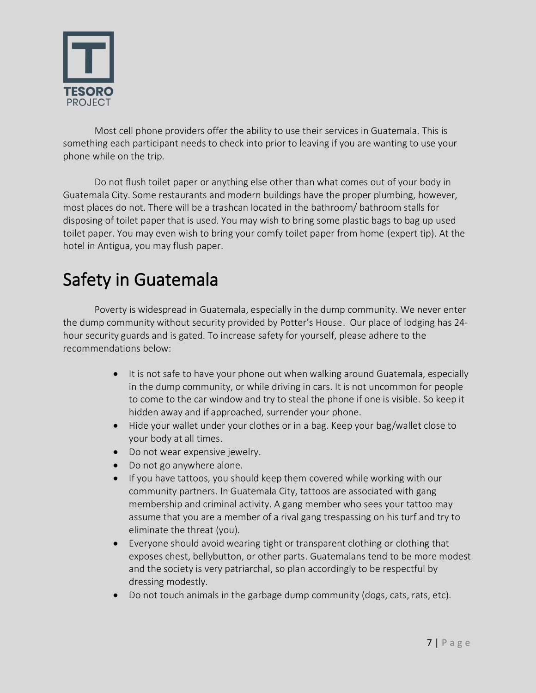

Most cell phone providers offer the ability to use their services in Guatemala. This is something each participant needs to check into prior to leaving if you are wanting to use your phone while on the trip.

Do not flush toilet paper or anything else other than what comes out of your body in Guatemala City. Some restaurants and modern buildings have the proper plumbing, however, most places do not. There will be a trashcan located in the bathroom/ bathroom stalls for disposing of toilet paper that is used. You may wish to bring some plastic bags to bag up used toilet paper. You may even wish to bring your comfy toilet paper from home (expert tip). At the hotel in Antigua, you may flush paper.

### Safety in Guatemala

Poverty is widespread in Guatemala, especially in the dump community. We never enter the dump community without security provided by Potter's House. Our place of lodging has 24 hour security guards and is gated. To increase safety for yourself, please adhere to the recommendations below:

- It is not safe to have your phone out when walking around Guatemala, especially in the dump community, or while driving in cars. It is not uncommon for people to come to the car window and try to steal the phone if one is visible. So keep it hidden away and if approached, surrender your phone.
- Hide your wallet under your clothes or in a bag. Keep your bag/wallet close to your body at all times.
- Do not wear expensive jewelry.
- Do not go anywhere alone.
- If you have tattoos, you should keep them covered while working with our community partners. In Guatemala City, tattoos are associated with gang membership and criminal activity. A gang member who sees your tattoo may assume that you are a member of a rival gang trespassing on his turf and try to eliminate the threat (you).
- Everyone should avoid wearing tight or transparent clothing or clothing that exposes chest, bellybutton, or other parts. Guatemalans tend to be more modest and the society is very patriarchal, so plan accordingly to be respectful by dressing modestly.
- Do not touch animals in the garbage dump community (dogs, cats, rats, etc).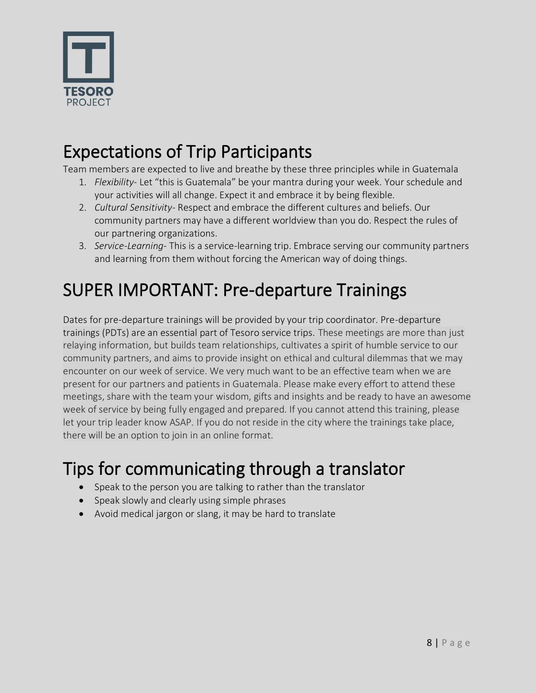

#### Expectations of Trip Participants

Team members are expected to live and breathe by these three principles while in Guatemala

- 1. *Flexibility-* Let "this is Guatemala" be your mantra during your week. Your schedule and your activities will all change. Expect it and embrace it by being flexible.
- 2. *Cultural Sensitivity* Respect and embrace the different cultures and beliefs. Our community partners may have a different worldview than you do. Respect the rules of our partnering organizations.
- 3. *Service-Learning* This is a service-learning trip. Embrace serving our community partners and learning from them without forcing the American way of doing things.

## SUPER IMPORTANT: Pre-departure Trainings

Dates for pre-departure trainings will be provided by your trip coordinator. Pre-departure trainings (PDTs) are an essential part of Tesoro service trips. These meetings are more than just relaying information, but builds team relationships, cultivates a spirit of humble service to our community partners, and aims to provide insight on ethical and cultural dilemmas that we may encounter on our week of service. We very much want to be an effective team when we are present for our partners and patients in Guatemala. Please make every effort to attend these meetings, share with the team your wisdom, gifts and insights and be ready to have an awesome week of service by being fully engaged and prepared. If you cannot attend this training, please let your trip leader know ASAP. If you do not reside in the city where the trainings take place, there will be an option to join in an online format.

### Tips for communicating through a translator

- Speak to the person you are talking to rather than the translator
- Speak slowly and clearly using simple phrases
- Avoid medical jargon or slang, it may be hard to translate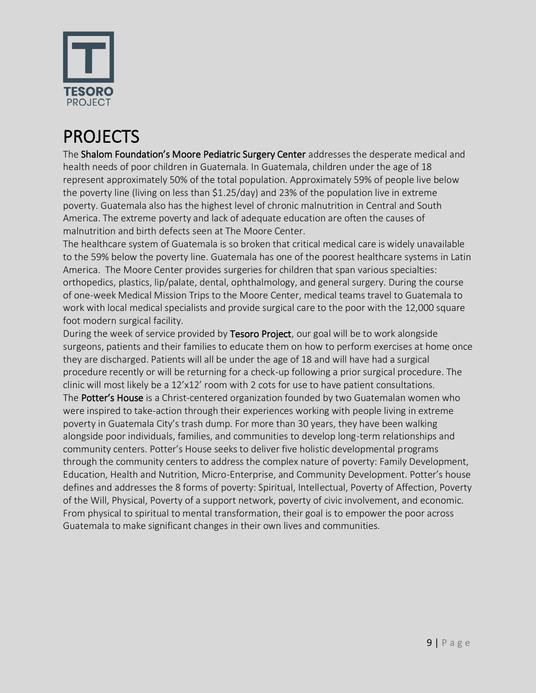

## PROJECTS

The Shalom Foundation's Moore Pediatric Surgery Center addresses the desperate medical and health needs of poor children in Guatemala. In Guatemala, children under the age of 18 represent approximately 50% of the total population. Approximately 59% of people live below the poverty line (living on less than \$1.25/day) and 23% of the population live in extreme poverty. Guatemala also has the highest level of chronic malnutrition in Central and South America. The extreme poverty and lack of adequate education are often the causes of malnutrition and birth defects seen at The Moore Center.

The healthcare system of Guatemala is so broken that critical medical care is widely unavailable to the 59% below the poverty line. Guatemala has one of the poorest healthcare systems in Latin America. The Moore Center provides surgeries for children that span various specialties: orthopedics, plastics, lip/palate, dental, ophthalmology, and general surgery. During the course of one-week Medical Mission Trips to the Moore Center, medical teams travel to Guatemala to work with local medical specialists and provide surgical care to the poor with the 12,000 square foot modern surgical facility.

During the week of service provided by Tesoro Project, our goal will be to work alongside surgeons, patients and their families to educate them on how to perform exercises at home once they are discharged. Patients will all be under the age of 18 and will have had a surgical procedure recently or will be returning for a check-up following a prior surgical procedure. The clinic will most likely be a 12'x12' room with 2 cots for use to have patient consultations. The **Potter's House** is a Christ-centered organization founded by two Guatemalan women who were inspired to take-action through their experiences working with people living in extreme poverty in Guatemala City's trash dump. For more than 30 years, they have been walking alongside poor individuals, families, and communities to develop long-term relationships and community centers. Potter's House seeks to deliver five holistic developmental programs through the community centers to address the complex nature of poverty: Family Development, Education, Health and Nutrition, Micro-Enterprise, and Community Development. Potter's house defines and addresses the 8 forms of poverty: Spiritual, Intellectual, Poverty of Affection, Poverty of the Will, Physical, Poverty of a support network, poverty of civic involvement, and economic. From physical to spiritual to mental transformation, their goal is to empower the poor across Guatemala to make significant changes in their own lives and communities.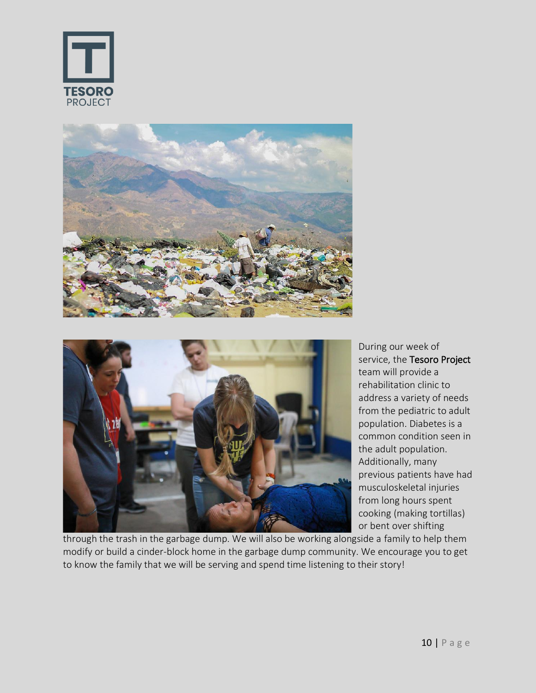



During our week of service, the Tesoro Project team will provide a rehabilitation clinic to address a variety of needs from the pediatric to adult population. Diabetes is a common condition seen in the adult population. Additionally, many previous patients have had musculoskeletal injuries from long hours spent cooking (making tortillas) or bent over shifting

through the trash in the garbage dump. We will also be working alongside a family to help them modify or build a cinder-block home in the garbage dump community. We encourage you to get to know the family that we will be serving and spend time listening to their story!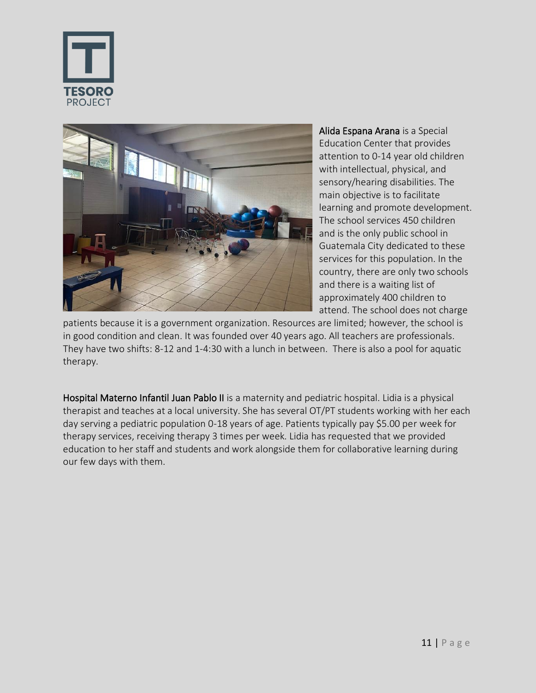



Alida Espana Arana is a Special Education Center that provides attention to 0-14 year old children with intellectual, physical, and sensory/hearing disabilities. The main objective is to facilitate learning and promote development. The school services 450 children and is the only public school in Guatemala City dedicated to these services for this population. In the country, there are only two schools and there is a waiting list of approximately 400 children to attend. The school does not charge

patients because it is a government organization. Resources are limited; however, the school is in good condition and clean. It was founded over 40 years ago. All teachers are professionals. They have two shifts: 8-12 and 1-4:30 with a lunch in between. There is also a pool for aquatic therapy.

Hospital Materno Infantil Juan Pablo II is a maternity and pediatric hospital. Lidia is a physical therapist and teaches at a local university. She has several OT/PT students working with her each day serving a pediatric population 0-18 years of age. Patients typically pay \$5.00 per week for therapy services, receiving therapy 3 times per week. Lidia has requested that we provided education to her staff and students and work alongside them for collaborative learning during our few days with them.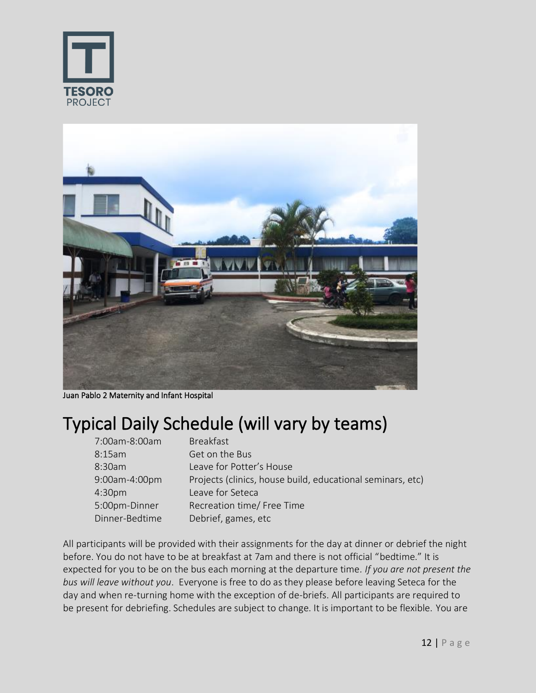



Juan Pablo 2 Maternity and Infant Hospital

### Typical Daily Schedule (will vary by teams)

| 7:00am-8:00am      | <b>Breakfast</b>                                           |
|--------------------|------------------------------------------------------------|
| 8:15am             | Get on the Bus                                             |
| 8:30am             | Leave for Potter's House                                   |
| 9:00am-4:00pm      | Projects (clinics, house build, educational seminars, etc) |
| 4:30 <sub>pm</sub> | Leave for Seteca                                           |
| 5:00pm-Dinner      | Recreation time/ Free Time                                 |
| Dinner-Bedtime     | Debrief, games, etc                                        |

All participants will be provided with their assignments for the day at dinner or debrief the night before. You do not have to be at breakfast at 7am and there is not official "bedtime." It is expected for you to be on the bus each morning at the departure time*. If you are not present the bus will leave without you*. Everyone is free to do as they please before leaving Seteca for the day and when re-turning home with the exception of de-briefs. All participants are required to be present for debriefing. Schedules are subject to change. It is important to be flexible. You are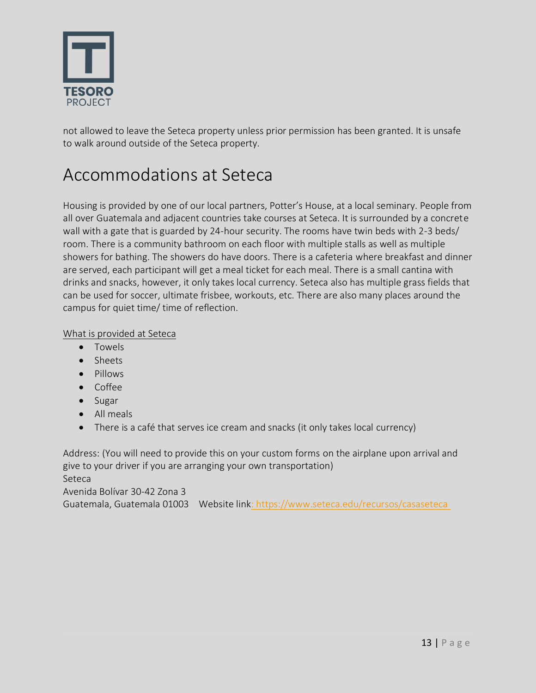

not allowed to leave the Seteca property unless prior permission has been granted. It is unsafe to walk around outside of the Seteca property.

### Accommodations at Seteca

Housing is provided by one of our local partners, Potter's House, at a local seminary. People from all over Guatemala and adjacent countries take courses at Seteca. It is surrounded by a concrete wall with a gate that is guarded by 24-hour security. The rooms have twin beds with 2-3 beds/ room. There is a community bathroom on each floor with multiple stalls as well as multiple showers for bathing. The showers do have doors. There is a cafeteria where breakfast and dinner are served, each participant will get a meal ticket for each meal. There is a small cantina with drinks and snacks, however, it only takes local currency. Seteca also has multiple grass fields that can be used for soccer, ultimate frisbee, workouts, etc. There are also many places around the campus for quiet time/ time of reflection.

#### What is provided at Seteca

- Towels
- Sheets
- Pillows
- Coffee
- Sugar
- All meals
- There is a café that serves ice cream and snacks (it only takes local currency)

Address: (You will need to provide this on your custom forms on the airplane upon arrival and give to your driver if you are arranging your own transportation) Seteca

Avenida Bolívar 30-42 Zona 3

Guatemala, Guatemala 01003 Website lin[k: https://www.seteca.edu/recursos/casaseteca](https://www.seteca.edu/recursos/casaseteca )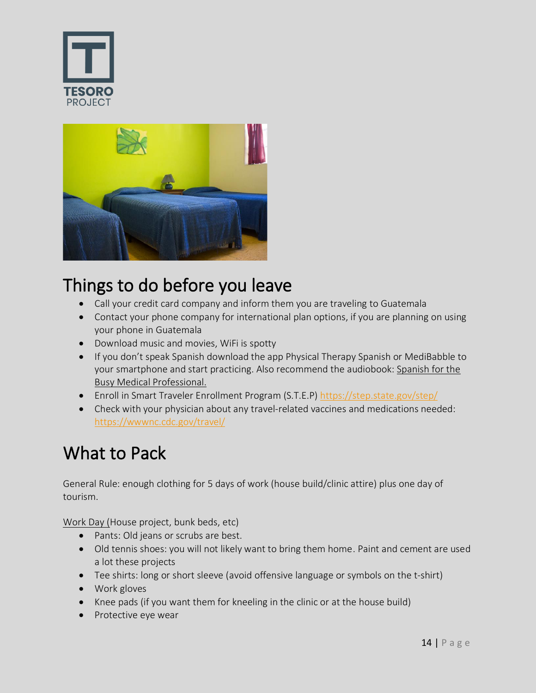



### Things to do before you leave

- Call your credit card company and inform them you are traveling to Guatemala
- Contact your phone company for international plan options, if you are planning on using your phone in Guatemala
- Download music and movies, WiFi is spotty
- If you don't speak Spanish download the app Physical Therapy Spanish or MediBabble to your smartphone and start practicing. Also recommend the audiobook: Spanish for the Busy Medical Professional.
- Enroll in Smart Traveler Enrollment Program (S.T.E.P)<https://step.state.gov/step/>
- Check with your physician about any travel-related vaccines and medications needed: <https://wwwnc.cdc.gov/travel/>

#### What to Pack

General Rule: enough clothing for 5 days of work (house build/clinic attire) plus one day of tourism.

Work Day (House project, bunk beds, etc)

- Pants: Old jeans or scrubs are best.
- Old tennis shoes: you will not likely want to bring them home. Paint and cement are used a lot these projects
- Tee shirts: long or short sleeve (avoid offensive language or symbols on the t-shirt)
- Work gloves
- Knee pads (if you want them for kneeling in the clinic or at the house build)
- Protective eye wear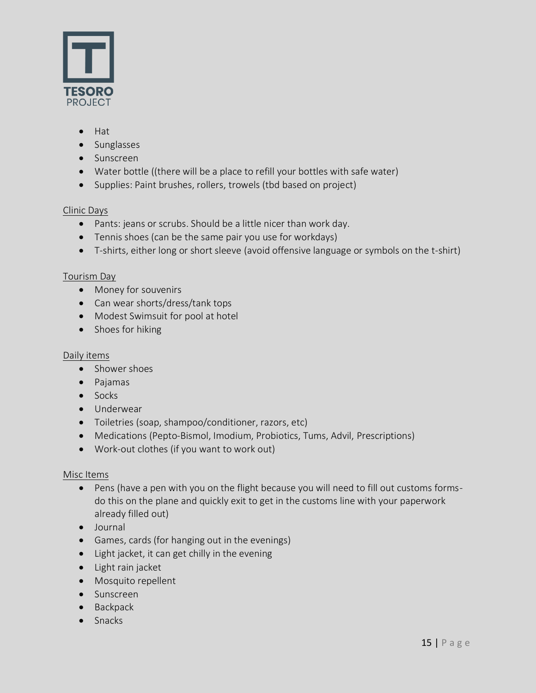

- Hat
- Sunglasses
- Sunscreen
- Water bottle ((there will be a place to refill your bottles with safe water)
- Supplies: Paint brushes, rollers, trowels (tbd based on project)

#### Clinic Days

- Pants: jeans or scrubs. Should be a little nicer than work day.
- Tennis shoes (can be the same pair you use for workdays)
- T-shirts, either long or short sleeve (avoid offensive language or symbols on the t-shirt)

#### Tourism Day

- Money for souvenirs
- Can wear shorts/dress/tank tops
- Modest Swimsuit for pool at hotel
- Shoes for hiking

#### Daily items

- Shower shoes
- Pajamas
- Socks
- Underwear
- Toiletries (soap, shampoo/conditioner, razors, etc)
- Medications (Pepto-Bismol, Imodium, Probiotics, Tums, Advil, Prescriptions)
- Work-out clothes (if you want to work out)

#### Misc Items

- Pens (have a pen with you on the flight because you will need to fill out customs formsdo this on the plane and quickly exit to get in the customs line with your paperwork already filled out)
- Journal
- Games, cards (for hanging out in the evenings)
- Light jacket, it can get chilly in the evening
- Light rain jacket
- Mosquito repellent
- Sunscreen
- Backpack
- Snacks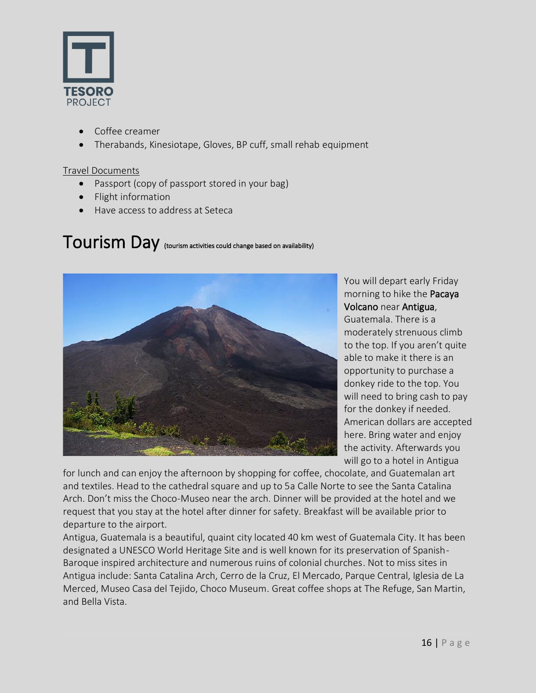

- Coffee creamer
- Therabands, Kinesiotape, Gloves, BP cuff, small rehab equipment

#### Travel Documents

- Passport (copy of passport stored in your bag)
- Flight information
- Have access to address at Seteca

#### Tourism Day (tourism activities could change based on availability)



You will depart early Friday morning to hike the Pacaya Volcano near Antigua, Guatemala. There is a moderately strenuous climb to the top. If you aren't quite able to make it there is an opportunity to purchase a donkey ride to the top. You will need to bring cash to pay for the donkey if needed. American dollars are accepted here. Bring water and enjoy the activity. Afterwards you will go to a hotel in Antigua

for lunch and can enjoy the afternoon by shopping for coffee, chocolate, and Guatemalan art and textiles. Head to the cathedral square and up to 5a Calle Norte to see the Santa Catalina Arch. Don't miss the Choco-Museo near the arch. Dinner will be provided at the hotel and we request that you stay at the hotel after dinner for safety. Breakfast will be available prior to departure to the airport.

Antigua, Guatemala is a beautiful, quaint city located 40 km west of Guatemala City. It has been designated a UNESCO World Heritage Site and is well known for its preservation of Spanish-Baroque inspired architecture and numerous ruins of colonial churches. Not to miss sites in Antigua include: Santa Catalina Arch, Cerro de la Cruz, El Mercado, Parque Central, Iglesia de La Merced, Museo Casa del Tejido, Choco Museum. Great coffee shops at The Refuge, San Martin, and Bella Vista.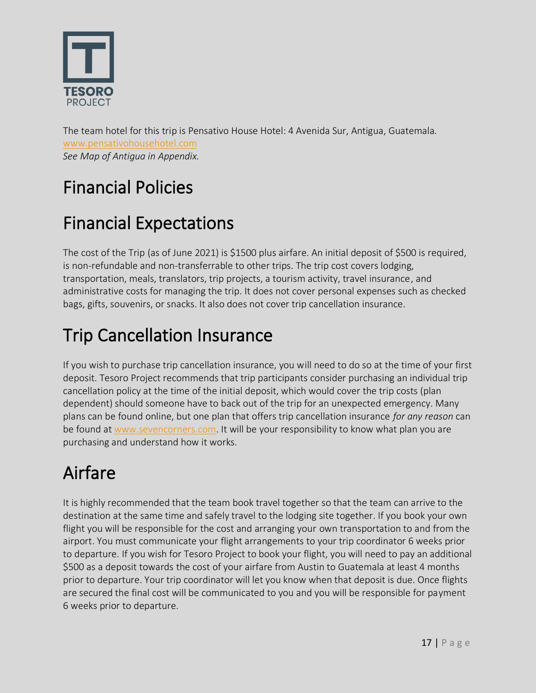

The team hotel for this trip is Pensativo House Hotel: 4 Avenida Sur, Antigua, Guatemala. [www.pensativohousehotel.com](http://www.pensativohousehotel.com/) *See Map of Antigua in Appendix.* 

## Financial Policies

## Financial Expectations

The cost of the Trip (as of June 2021) is \$1500 plus airfare. An initial deposit of \$500 is required, is non-refundable and non-transferrable to other trips. The trip cost covers lodging, transportation, meals, translators, trip projects, a tourism activity, travel insurance, and administrative costs for managing the trip. It does not cover personal expenses such as checked bags, gifts, souvenirs, or snacks. It also does not cover trip cancellation insurance.

## Trip Cancellation Insurance

If you wish to purchase trip cancellation insurance, you will need to do so at the time of your first deposit. Tesoro Project recommends that trip participants consider purchasing an individual trip cancellation policy at the time of the initial deposit, which would cover the trip costs (plan dependent) should someone have to back out of the trip for an unexpected emergency. Many plans can be found online, but one plan that offers trip cancellation insurance *for any reason* can be found at [www.sevencorners.com.](http://www.sevencorners.com/) It will be your responsibility to know what plan you are purchasing and understand how it works.

## Airfare

It is highly recommended that the team book travel together so that the team can arrive to the destination at the same time and safely travel to the lodging site together. If you book your own flight you will be responsible for the cost and arranging your own transportation to and from the airport. You must communicate your flight arrangements to your trip coordinator 6 weeks prior to departure. If you wish for Tesoro Project to book your flight, you will need to pay an additional \$500 as a deposit towards the cost of your airfare from Austin to Guatemala at least 4 months prior to departure. Your trip coordinator will let you know when that deposit is due. Once flights are secured the final cost will be communicated to you and you will be responsible for payment 6 weeks prior to departure.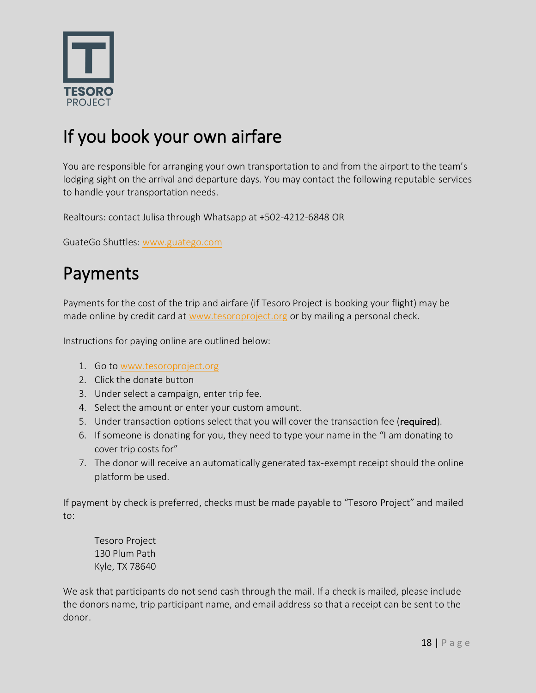

## If you book your own airfare

You are responsible for arranging your own transportation to and from the airport to the team's lodging sight on the arrival and departure days. You may contact the following reputable services to handle your transportation needs.

Realtours: contact Julisa through Whatsapp at +502-4212-6848 OR

GuateGo Shuttles[: www.guatego.com](http://www.guatego.com/)

#### Payments

Payments for the cost of the trip and airfare (if Tesoro Project is booking your flight) may be made online by credit card at [www.tesoroproject.org](http://www.tesoroproject.org/) or by mailing a personal check.

Instructions for paying online are outlined below:

- 1. Go to [www.tesoroproject.org](http://www.tesoroproject.org/)
- 2. Click the donate button
- 3. Under select a campaign, enter trip fee.
- 4. Select the amount or enter your custom amount.
- 5. Under transaction options select that you will cover the transaction fee (required).
- 6. If someone is donating for you, they need to type your name in the "I am donating to cover trip costs for"
- 7. The donor will receive an automatically generated tax-exempt receipt should the online platform be used.

If payment by check is preferred, checks must be made payable to "Tesoro Project" and mailed to:

Tesoro Project 130 Plum Path Kyle, TX 78640

We ask that participants do not send cash through the mail. If a check is mailed, please include the donors name, trip participant name, and email address so that a receipt can be sent to the donor.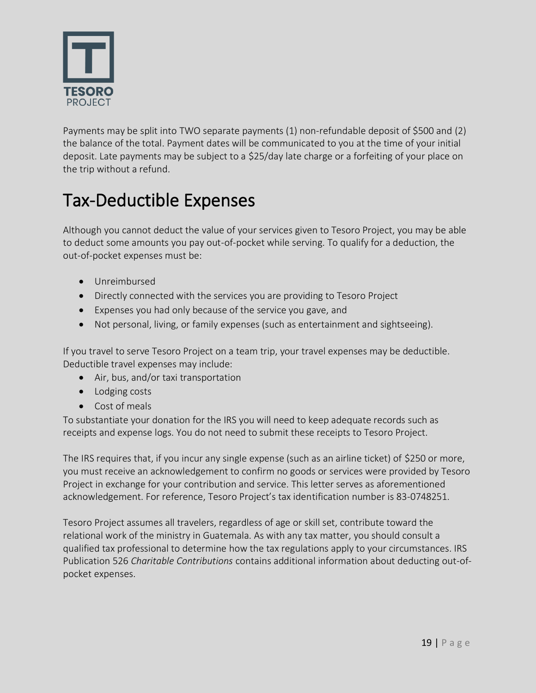

Payments may be split into TWO separate payments (1) non-refundable deposit of \$500 and (2) the balance of the total. Payment dates will be communicated to you at the time of your initial deposit. Late payments may be subject to a \$25/day late charge or a forfeiting of your place on the trip without a refund.

## Tax-Deductible Expenses

Although you cannot deduct the value of your services given to Tesoro Project, you may be able to deduct some amounts you pay out-of-pocket while serving. To qualify for a deduction, the out-of-pocket expenses must be:

- Unreimbursed
- Directly connected with the services you are providing to Tesoro Project
- Expenses you had only because of the service you gave, and
- Not personal, living, or family expenses (such as entertainment and sightseeing).

If you travel to serve Tesoro Project on a team trip, your travel expenses may be deductible. Deductible travel expenses may include:

- Air, bus, and/or taxi transportation
- Lodging costs
- Cost of meals

To substantiate your donation for the IRS you will need to keep adequate records such as receipts and expense logs. You do not need to submit these receipts to Tesoro Project.

The IRS requires that, if you incur any single expense (such as an airline ticket) of \$250 or more, you must receive an acknowledgement to confirm no goods or services were provided by Tesoro Project in exchange for your contribution and service. This letter serves as aforementioned acknowledgement. For reference, Tesoro Project's tax identification number is 83-0748251.

Tesoro Project assumes all travelers, regardless of age or skill set, contribute toward the relational work of the ministry in Guatemala. As with any tax matter, you should consult a qualified tax professional to determine how the tax regulations apply to your circumstances. IRS Publication 526 *Charitable Contributions* contains additional information about deducting out-ofpocket expenses.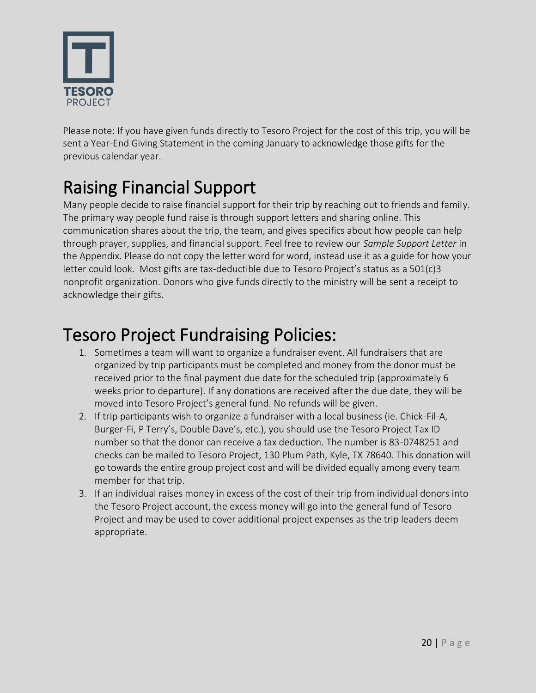

Please note: If you have given funds directly to Tesoro Project for the cost of this trip, you will be sent a Year-End Giving Statement in the coming January to acknowledge those gifts for the previous calendar year.

## Raising Financial Support

Many people decide to raise financial support for their trip by reaching out to friends and family. The primary way people fund raise is through support letters and sharing online. This communication shares about the trip, the team, and gives specifics about how people can help through prayer, supplies, and financial support. Feel free to review our *Sample Support Letter* in the Appendix. Please do not copy the letter word for word, instead use it as a guide for how your letter could look. Most gifts are tax-deductible due to Tesoro Project's status as a 501(c)3 nonprofit organization. Donors who give funds directly to the ministry will be sent a receipt to acknowledge their gifts.

#### Tesoro Project Fundraising Policies:

- 1. Sometimes a team will want to organize a fundraiser event. All fundraisers that are organized by trip participants must be completed and money from the donor must be received prior to the final payment due date for the scheduled trip (approximately 6 weeks prior to departure). If any donations are received after the due date, they will be moved into Tesoro Project's general fund. No refunds will be given.
- 2. If trip participants wish to organize a fundraiser with a local business (ie. Chick-Fil-A, Burger-Fi, P Terry's, Double Dave's, etc.), you should use the Tesoro Project Tax ID number so that the donor can receive a tax deduction. The number is 83-0748251 and checks can be mailed to Tesoro Project, 130 Plum Path, Kyle, TX 78640. This donation will go towards the entire group project cost and will be divided equally among every team member for that trip.
- 3. If an individual raises money in excess of the cost of their trip from individual donors into the Tesoro Project account, the excess money will go into the general fund of Tesoro Project and may be used to cover additional project expenses as the trip leaders deem appropriate.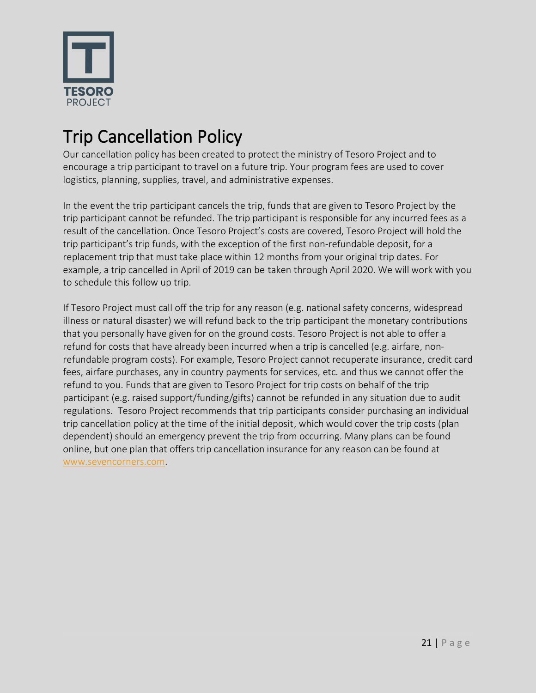

## Trip Cancellation Policy

Our cancellation policy has been created to protect the ministry of Tesoro Project and to encourage a trip participant to travel on a future trip. Your program fees are used to cover logistics, planning, supplies, travel, and administrative expenses.

In the event the trip participant cancels the trip, funds that are given to Tesoro Project by the trip participant cannot be refunded. The trip participant is responsible for any incurred fees as a result of the cancellation. Once Tesoro Project's costs are covered, Tesoro Project will hold the trip participant's trip funds, with the exception of the first non-refundable deposit, for a replacement trip that must take place within 12 months from your original trip dates. For example, a trip cancelled in April of 2019 can be taken through April 2020. We will work with you to schedule this follow up trip.

If Tesoro Project must call off the trip for any reason (e.g. national safety concerns, widespread illness or natural disaster) we will refund back to the trip participant the monetary contributions that you personally have given for on the ground costs. Tesoro Project is not able to offer a refund for costs that have already been incurred when a trip is cancelled (e.g. airfare, nonrefundable program costs). For example, Tesoro Project cannot recuperate insurance, credit card fees, airfare purchases, any in country payments for services, etc. and thus we cannot offer the refund to you. Funds that are given to Tesoro Project for trip costs on behalf of the trip participant (e.g. raised support/funding/gifts) cannot be refunded in any situation due to audit regulations. Tesoro Project recommends that trip participants consider purchasing an individual trip cancellation policy at the time of the initial deposit, which would cover the trip costs (plan dependent) should an emergency prevent the trip from occurring. Many plans can be found online, but one plan that offers trip cancellation insurance for any reason can be found at [www.sevencorners.com.](http://www.sevencorners.com/)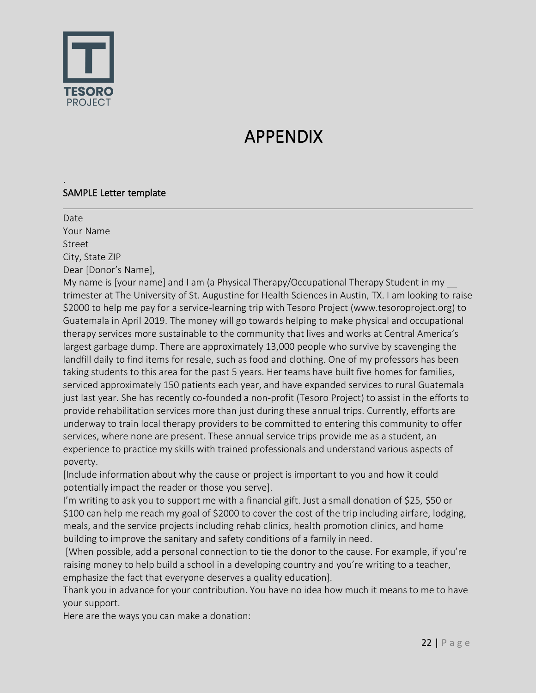

.

## APPENDIX

#### SAMPLE Letter template

Date Your Name Street City, State ZIP Dear [Donor's Name], My name is [your name] and I am (a Physical Therapy/Occupational Therapy Student in my \_\_ trimester at The University of St. Augustine for Health Sciences in Austin, TX. I am looking to raise \$2000 to help me pay for a service-learning trip with Tesoro Project (www.tesoroproject.org) to Guatemala in April 2019. The money will go towards helping to make physical and occupational therapy services more sustainable to the community that lives and works at Central America's largest garbage dump. There are approximately 13,000 people who survive by scavenging the landfill daily to find items for resale, such as food and clothing. One of my professors has been taking students to this area for the past 5 years. Her teams have built five homes for families, serviced approximately 150 patients each year, and have expanded services to rural Guatemala just last year. She has recently co-founded a non-profit (Tesoro Project) to assist in the efforts to provide rehabilitation services more than just during these annual trips. Currently, efforts are underway to train local therapy providers to be committed to entering this community to offer services, where none are present. These annual service trips provide me as a student, an experience to practice my skills with trained professionals and understand various aspects of poverty.

[Include information about why the cause or project is important to you and how it could potentially impact the reader or those you serve].

I'm writing to ask you to support me with a financial gift. Just a small donation of \$25, \$50 or \$100 can help me reach my goal of \$2000 to cover the cost of the trip including airfare, lodging, meals, and the service projects including rehab clinics, health promotion clinics, and home building to improve the sanitary and safety conditions of a family in need.

[When possible, add a personal connection to tie the donor to the cause. For example, if you're raising money to help build a school in a developing country and you're writing to a teacher, emphasize the fact that everyone deserves a quality education].

Thank you in advance for your contribution. You have no idea how much it means to me to have your support.

Here are the ways you can make a donation: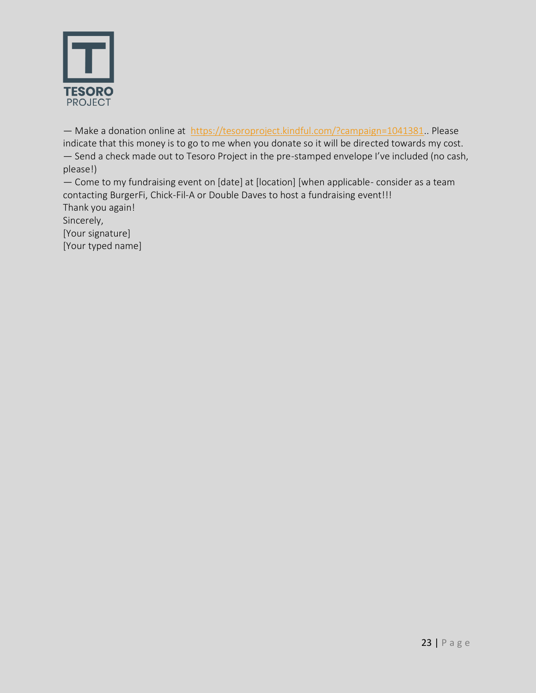

— Make a donation online at [https://tesoroproject.kindful.com/?campaign=1041381.](https://tesoroproject.kindful.com/?campaign=1041381). Please indicate that this money is to go to me when you donate so it will be directed towards my cost. — Send a check made out to Tesoro Project in the pre-stamped envelope I've included (no cash, please!)

— Come to my fundraising event on [date] at [location] [when applicable- consider as a team contacting BurgerFi, Chick-Fil-A or Double Daves to host a fundraising event!!! Thank you again!

Sincerely,

[Your signature] [Your typed name]